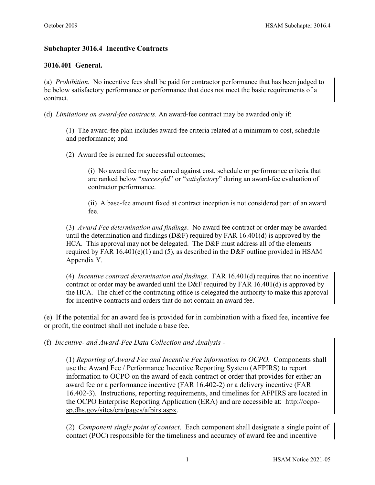## **Subchapter 3016.4 Incentive Contracts**

## **3016.401 General.**

(a) *Prohibition.* No incentive fees shall be paid for contractor performance that has been judged to be below satisfactory performance or performance that does not meet the basic requirements of a contract.

(d) *Limitations on award-fee contracts.* An award-fee contract may be awarded only if:

(1) The award-fee plan includes award-fee criteria related at a minimum to cost, schedule and performance; and

(2) Award fee is earned for successful outcomes;

(i) No award fee may be earned against cost, schedule or performance criteria that are ranked below "*successful*" or "*satisfactory*" during an award-fee evaluation of contractor performance.

(ii) A base-fee amount fixed at contract inception is not considered part of an award fee.

(3) *Award Fee determination and findings*. No award fee contract or order may be awarded until the determination and findings ( $D\&F$ ) required by FAR 16.401(d) is approved by the HCA. This approval may not be delegated. The D&F must address all of the elements required by FAR  $16.401(e)(1)$  and  $(5)$ , as described in the D&F outline provided in HSAM Appendix Y.

(4) *Incentive contract determination and findings.* FAR 16.401(d) requires that no incentive contract or order may be awarded until the D&F required by FAR 16.401(d) is approved by the HCA. The chief of the contracting office is delegated the authority to make this approval for incentive contracts and orders that do not contain an award fee.

(e) If the potential for an award fee is provided for in combination with a fixed fee, incentive fee or profit, the contract shall not include a base fee.

(f) *Incentive- and Award-Fee Data Collection and Analysis -*

(1) *Reporting of Award Fee and Incentive Fee information to OCPO.* Components shall use the Award Fee / Performance Incentive Reporting System (AFPIRS) to report information to OCPO on the award of each contract or order that provides for either an award fee or a performance incentive (FAR 16.402-2) or a delivery incentive (FAR 16.402-3). Instructions, reporting requirements, and timelines for AFPIRS are located in the OCPO Enterprise Reporting Application (ERA) and are accessible at: [http://ocpo](http://ocpo-sp.dhs.gov/sites/era/pages/afpirs.aspx)[sp.dhs.gov/sites/era/pages/afpirs.aspx.](http://ocpo-sp.dhs.gov/sites/era/pages/afpirs.aspx)

(2) *Component single point of contact*. Each component shall designate a single point of contact (POC) responsible for the timeliness and accuracy of award fee and incentive